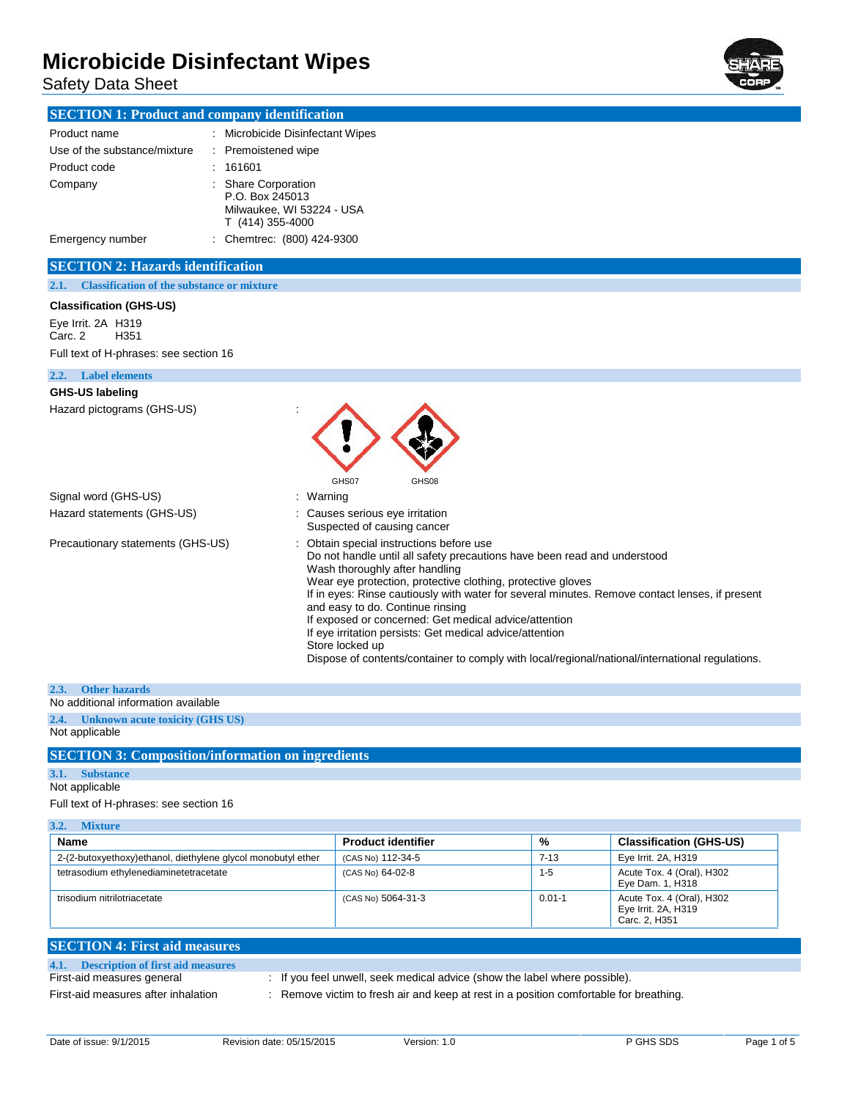Safety Data Sheet



## **SECTION 1: Product and company identification**

| Product name                 | : Microbicide Disinfectant Wipes                                                        |
|------------------------------|-----------------------------------------------------------------------------------------|
| Use of the substance/mixture | : Premoistened wipe                                                                     |
| Product code                 | 161601                                                                                  |
| Company                      | : Share Corporation<br>P.O. Box 245013<br>Milwaukee, WI 53224 - USA<br>T (414) 355-4000 |
| Emergency number             | : Chemtrec: (800) 424-9300                                                              |

### **SECTION 2: Hazards identification**

**2.1. Classification of the substance or mixture**

#### **Classification (GHS-US)**

Eye Irrit. 2A H319<br>Carc. 2 H351  $Carc. 2$ Full text of H-phrases: see section 16

#### **2.2. Label elements**

# **GHS-US labeling**

Hazard pictograms (GHS-US) :



Signal word (GHS-US) **in the set of the Signal word (GHS-US) in the set of the Signal word (GHS-US)** Hazard statements (GHS-US) : Causes serious eye irritation

Suspected of causing cancer Precautionary statements (GHS-US) : Obtain special instructions before use Do not handle until all safety precautions have been read and understood Wash thoroughly after handling Wear eye protection, protective clothing, protective gloves If in eyes: Rinse cautiously with water for several minutes. Remove contact lenses, if present and easy to do. Continue rinsing If exposed or concerned: Get medical advice/attention If eye irritation persists: Get medical advice/attention Store locked up Dispose of contents/container to comply with local/regional/national/international regulations.

### **2.3. Other hazards**

No additional information available

#### **2.4. Unknown acute toxicity (GHS US)** Not applicable

### **SECTION 3: Composition/information on ingredients**

### **3.1. Substance**

## Not applicable

Full text of H-phrases: see section 16

| 3.2.<br><b>Mixture</b>                                        |                           |            |                                                                   |  |
|---------------------------------------------------------------|---------------------------|------------|-------------------------------------------------------------------|--|
| Name                                                          | <b>Product identifier</b> | %          | <b>Classification (GHS-US)</b>                                    |  |
| 2-(2-butoxyethoxy) ethanol, diethylene glycol monobutyl ether | (CAS No) 112-34-5         | $7 - 13$   | Eye Irrit. 2A, H319                                               |  |
| tetrasodium ethylenediaminetetracetate                        | (CAS No) 64-02-8          | $1 - 5$    | Acute Tox. 4 (Oral), H302<br>Eye Dam. 1, H318                     |  |
| trisodium nitrilotriacetate                                   | (CAS No) 5064-31-3        | $0.01 - 1$ | Acute Tox. 4 (Oral), H302<br>Eye Irrit. 2A, H319<br>Carc. 2. H351 |  |

| <b>SECTION 4: First aid measures</b>   |                                                                                      |
|----------------------------------------|--------------------------------------------------------------------------------------|
| 4.1. Description of first aid measures |                                                                                      |
| First-aid measures general             | : If you feel unwell, seek medical advice (show the label where possible).           |
| First-aid measures after inhalation    | Remove victim to fresh air and keep at rest in a position comfortable for breathing. |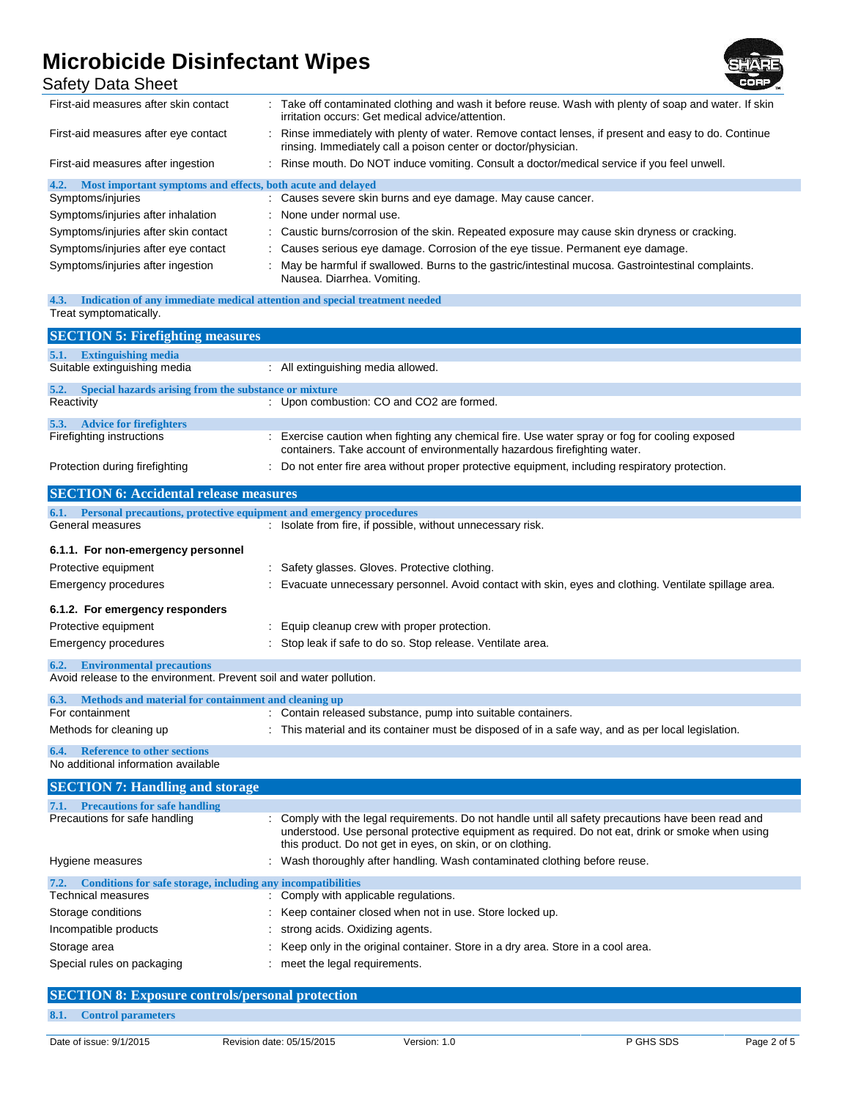

| MICIODICIUE DISIMECIANI VIIDES<br>Safety Data Sheet                                                             |                                                                                                                                                                             |
|-----------------------------------------------------------------------------------------------------------------|-----------------------------------------------------------------------------------------------------------------------------------------------------------------------------|
| First-aid measures after skin contact                                                                           | : Take off contaminated clothing and wash it before reuse. Wash with plenty of soap and water. If skin<br>irritation occurs: Get medical advice/attention.                  |
| First-aid measures after eye contact                                                                            | Rinse immediately with plenty of water. Remove contact lenses, if present and easy to do. Continue<br>rinsing. Immediately call a poison center or doctor/physician.        |
| First-aid measures after ingestion                                                                              | Rinse mouth. Do NOT induce vomiting. Consult a doctor/medical service if you feel unwell.                                                                                   |
| Most important symptoms and effects, both acute and delayed<br>4.2.                                             |                                                                                                                                                                             |
| Symptoms/injuries                                                                                               | : Causes severe skin burns and eye damage. May cause cancer.                                                                                                                |
| Symptoms/injuries after inhalation                                                                              | None under normal use.                                                                                                                                                      |
| Symptoms/injuries after skin contact                                                                            | Caustic burns/corrosion of the skin. Repeated exposure may cause skin dryness or cracking.                                                                                  |
| Symptoms/injuries after eye contact                                                                             | Causes serious eye damage. Corrosion of the eye tissue. Permanent eye damage.                                                                                               |
| Symptoms/injuries after ingestion                                                                               | May be harmful if swallowed. Burns to the gastric/intestinal mucosa. Gastrointestinal complaints.<br>Nausea. Diarrhea. Vomiting.                                            |
| 4.3.                                                                                                            | Indication of any immediate medical attention and special treatment needed                                                                                                  |
| Treat symptomatically.                                                                                          |                                                                                                                                                                             |
| <b>SECTION 5: Firefighting measures</b>                                                                         |                                                                                                                                                                             |
| 5.1. Extinguishing media                                                                                        |                                                                                                                                                                             |
| Suitable extinguishing media                                                                                    | : All extinguishing media allowed.                                                                                                                                          |
| Special hazards arising from the substance or mixture<br>5.2.                                                   |                                                                                                                                                                             |
| Reactivity                                                                                                      | : Upon combustion: CO and CO2 are formed.                                                                                                                                   |
| 5.3. Advice for firefighters                                                                                    |                                                                                                                                                                             |
| Firefighting instructions                                                                                       | : Exercise caution when fighting any chemical fire. Use water spray or fog for cooling exposed<br>containers. Take account of environmentally hazardous firefighting water. |
| Protection during firefighting                                                                                  | Do not enter fire area without proper protective equipment, including respiratory protection.                                                                               |
| <b>SECTION 6: Accidental release measures</b>                                                                   |                                                                                                                                                                             |
| 6.1. Personal precautions, protective equipment and emergency procedures                                        |                                                                                                                                                                             |
| General measures                                                                                                | : Isolate from fire, if possible, without unnecessary risk.                                                                                                                 |
| 6.1.1. For non-emergency personnel                                                                              |                                                                                                                                                                             |
| Protective equipment                                                                                            | Safety glasses. Gloves. Protective clothing.                                                                                                                                |
| <b>Emergency procedures</b>                                                                                     | Evacuate unnecessary personnel. Avoid contact with skin, eyes and clothing. Ventilate spillage area.                                                                        |
|                                                                                                                 |                                                                                                                                                                             |
| 6.1.2. For emergency responders                                                                                 |                                                                                                                                                                             |
| Protective equipment                                                                                            | Equip cleanup crew with proper protection.                                                                                                                                  |
| <b>Emergency procedures</b>                                                                                     | Stop leak if safe to do so. Stop release. Ventilate area.                                                                                                                   |
| <b>Environmental precautions</b><br>6.2.<br>Avoid release to the environment. Prevent soil and water pollution. |                                                                                                                                                                             |

**6.3. Methods and material for containment and cleaning up** : Contain released substance, pump into suitable containers. Methods for cleaning up : This material and its container must be disposed of in a safe way, and as per local legislation.

#### **6.4. Reference to other sections** No additional information available

| <b>SECTION 7: Handling and storage</b>                               |                                                                                                                                                                                                                                                                       |
|----------------------------------------------------------------------|-----------------------------------------------------------------------------------------------------------------------------------------------------------------------------------------------------------------------------------------------------------------------|
| <b>Precautions for safe handling</b><br>7.1.                         |                                                                                                                                                                                                                                                                       |
| Precautions for safe handling                                        | : Comply with the legal requirements. Do not handle until all safety precautions have been read and<br>understood. Use personal protective equipment as required. Do not eat, drink or smoke when using<br>this product. Do not get in eyes, on skin, or on clothing. |
| Hygiene measures                                                     | : Wash thoroughly after handling. Wash contaminated clothing before reuse.                                                                                                                                                                                            |
| 7.2.<br>Conditions for safe storage, including any incompatibilities |                                                                                                                                                                                                                                                                       |
| <b>Technical measures</b>                                            | : Comply with applicable regulations.                                                                                                                                                                                                                                 |
| Storage conditions                                                   | Keep container closed when not in use. Store locked up.                                                                                                                                                                                                               |
| Incompatible products                                                | strong acids. Oxidizing agents.                                                                                                                                                                                                                                       |
| Storage area                                                         | Keep only in the original container. Store in a dry area. Store in a cool area.                                                                                                                                                                                       |
| Special rules on packaging                                           | meet the legal requirements.                                                                                                                                                                                                                                          |

## **SECTION 8: Exposure controls/personal protection**

**8.1. Control parameters**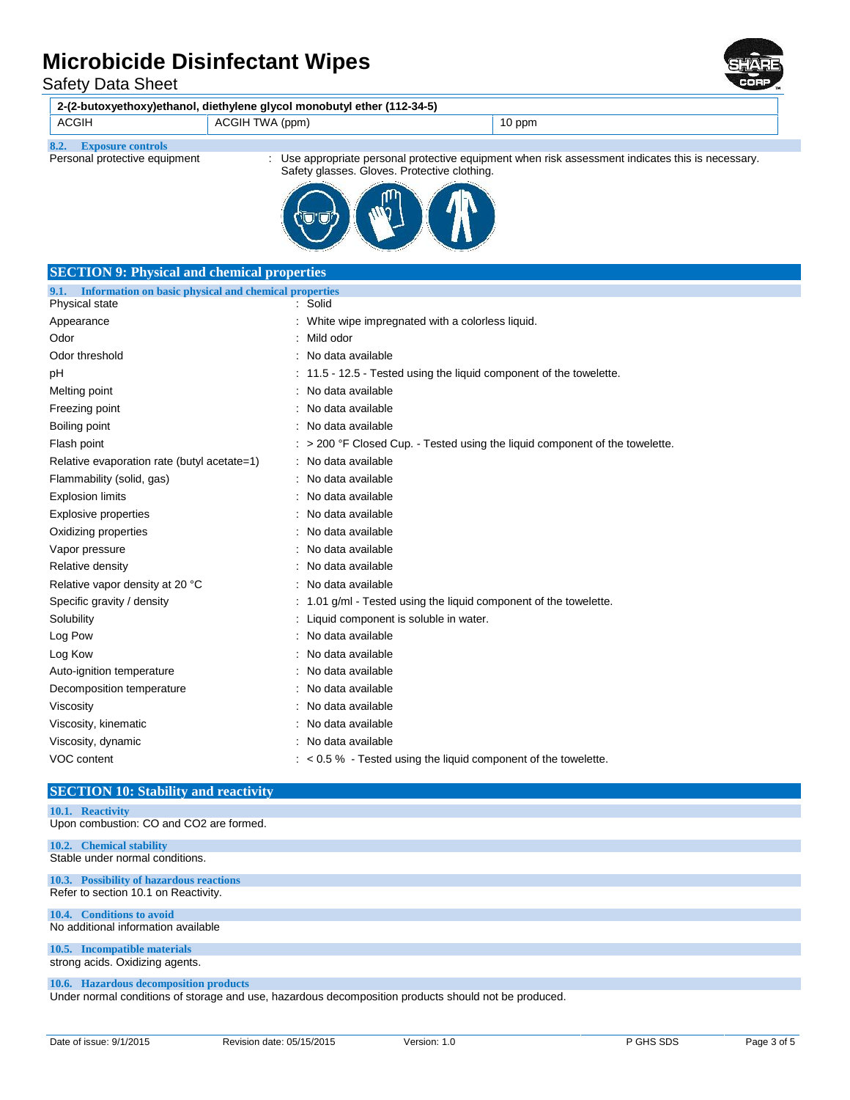Safety Data Sheet

| 2-(2-butoxyethoxy)ethanol, diethylene glycol monobutyl ether (112-34-5) |                                                                                                                                                 |        |  |
|-------------------------------------------------------------------------|-------------------------------------------------------------------------------------------------------------------------------------------------|--------|--|
| <b>ACGIH</b>                                                            | ACGIH TWA (ppm)                                                                                                                                 | 10 ppm |  |
| <b>Exposure controls</b>                                                |                                                                                                                                                 |        |  |
| Personal protective equipment                                           | Use appropriate personal protective equipment when risk assessment indicates this is necessary.<br>Safety glasses. Gloves. Protective clothing. |        |  |
|                                                                         |                                                                                                                                                 |        |  |

| <b>SECTION 9: Physical and chemical properties</b>         |                                                                                   |  |  |  |
|------------------------------------------------------------|-----------------------------------------------------------------------------------|--|--|--|
| 9.1. Information on basic physical and chemical properties |                                                                                   |  |  |  |
| Physical state                                             | : Solid                                                                           |  |  |  |
| Appearance                                                 | : White wipe impregnated with a colorless liquid.                                 |  |  |  |
| Odor                                                       | : Mild odor                                                                       |  |  |  |
| Odor threshold                                             | : No data available                                                               |  |  |  |
| рH                                                         | : 11.5 - 12.5 - Tested using the liquid component of the towelette.               |  |  |  |
| Melting point                                              | : No data available                                                               |  |  |  |
| Freezing point                                             | : No data available                                                               |  |  |  |
| Boiling point                                              | : No data available                                                               |  |  |  |
| Flash point                                                | $\sim$ > 200 °F Closed Cup. - Tested using the liquid component of the towelette. |  |  |  |
| Relative evaporation rate (butyl acetate=1)                | : No data available                                                               |  |  |  |
| Flammability (solid, gas)                                  | : No data available                                                               |  |  |  |
| <b>Explosion limits</b>                                    | : No data available                                                               |  |  |  |
| Explosive properties                                       | : No data available                                                               |  |  |  |
| Oxidizing properties                                       | : No data available                                                               |  |  |  |
| Vapor pressure                                             | : No data available                                                               |  |  |  |
| Relative density                                           | : No data available                                                               |  |  |  |
| Relative vapor density at 20 °C                            | : No data available                                                               |  |  |  |
| Specific gravity / density                                 | : 1.01 g/ml - Tested using the liquid component of the towelette.                 |  |  |  |
| Solubility                                                 | : Liquid component is soluble in water.                                           |  |  |  |
| Log Pow                                                    | : No data available                                                               |  |  |  |
| Log Kow                                                    | : No data available                                                               |  |  |  |
| Auto-ignition temperature                                  | : No data available                                                               |  |  |  |
| Decomposition temperature                                  | : No data available                                                               |  |  |  |
| Viscosity                                                  | : No data available                                                               |  |  |  |
| Viscosity, kinematic                                       | : No data available                                                               |  |  |  |
| Viscosity, dynamic                                         | : No data available                                                               |  |  |  |
| VOC content                                                | $\approx$ 0.5 % - Tested using the liquid component of the towelette.             |  |  |  |
|                                                            |                                                                                   |  |  |  |

## **SECTION 10: Stability and reactivity**

## **10.1. Reactivity** Upon combustion: CO and CO2 are formed. **10.2. Chemical stability** Stable under normal conditions. **10.3. Possibility of hazardous reactions** Refer to section 10.1 on Reactivity. **10.4. Conditions to avoid** No additional information available **10.5. Incompatible materials** strong acids. Oxidizing agents. **10.6. Hazardous decomposition products**

Under normal conditions of storage and use, hazardous decomposition products should not be produced.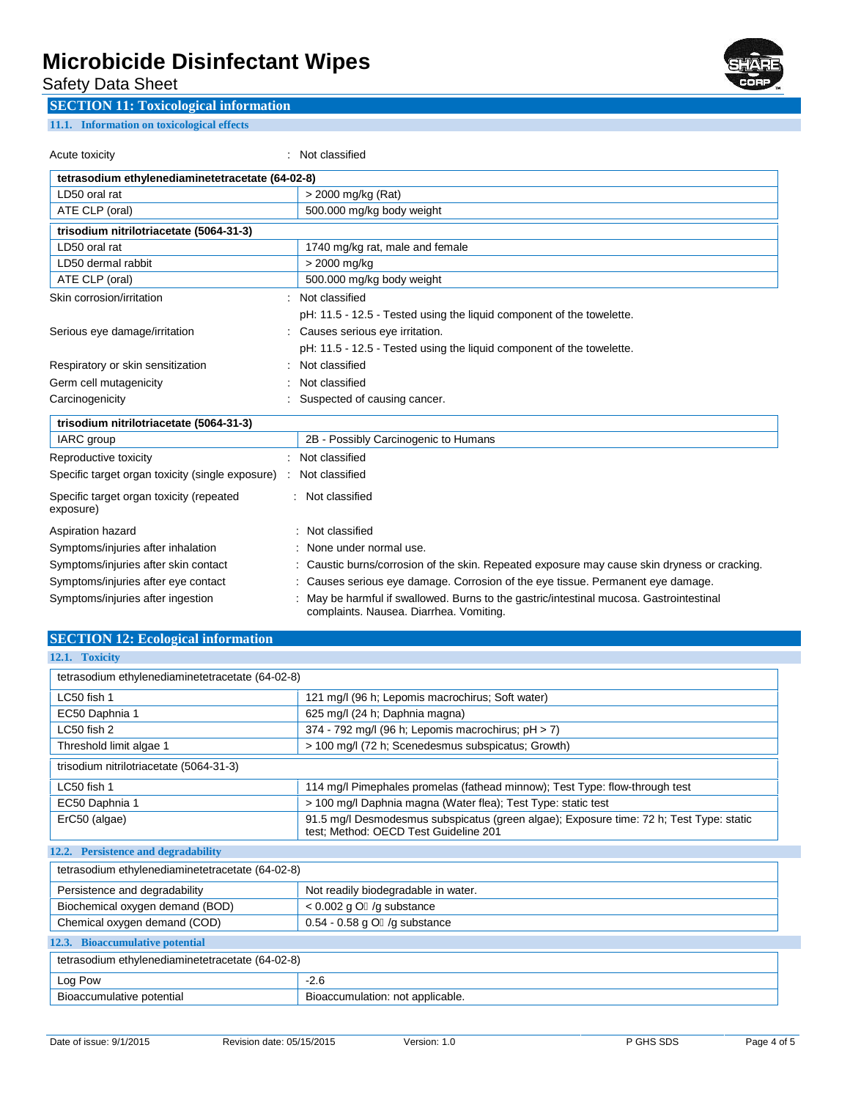Safety Data Sheet

## **SECTION 11: Toxicological information**

### **11.1. Information on toxicological effects**

Acute toxicity **in the case of the CALC** control of the classified in the classified

| tetrasodium ethylenediaminetetracetate (64-02-8)      |                                                                               |                                                                                                                                  |
|-------------------------------------------------------|-------------------------------------------------------------------------------|----------------------------------------------------------------------------------------------------------------------------------|
| LD50 oral rat                                         |                                                                               | > 2000 mg/kg (Rat)                                                                                                               |
| ATE CLP (oral)<br>500.000 mg/kg body weight           |                                                                               |                                                                                                                                  |
| trisodium nitrilotriacetate (5064-31-3)               |                                                                               |                                                                                                                                  |
| LD50 oral rat                                         |                                                                               | 1740 mg/kg rat, male and female                                                                                                  |
| LD50 dermal rabbit                                    |                                                                               | > 2000 mg/kg                                                                                                                     |
| ATE CLP (oral)                                        |                                                                               | 500.000 mg/kg body weight                                                                                                        |
| Skin corrosion/irritation                             |                                                                               | Not classified                                                                                                                   |
|                                                       |                                                                               | pH: 11.5 - 12.5 - Tested using the liquid component of the towelette.                                                            |
| Serious eye damage/irritation                         |                                                                               | Causes serious eye irritation.                                                                                                   |
|                                                       |                                                                               | pH: 11.5 - 12.5 - Tested using the liquid component of the towelette.                                                            |
| Respiratory or skin sensitization                     |                                                                               | Not classified                                                                                                                   |
| Germ cell mutagenicity                                |                                                                               | Not classified                                                                                                                   |
| Carcinogenicity                                       |                                                                               | Suspected of causing cancer.                                                                                                     |
| trisodium nitrilotriacetate (5064-31-3)               |                                                                               |                                                                                                                                  |
| IARC group                                            |                                                                               | 2B - Possibly Carcinogenic to Humans                                                                                             |
| Reproductive toxicity                                 |                                                                               | Not classified                                                                                                                   |
| Specific target organ toxicity (single exposure) :    |                                                                               | Not classified                                                                                                                   |
| Specific target organ toxicity (repeated<br>exposure) |                                                                               | : Not classified                                                                                                                 |
| Aspiration hazard                                     |                                                                               | Not classified                                                                                                                   |
| Symptoms/injuries after inhalation                    | None under normal use.                                                        |                                                                                                                                  |
| Symptoms/injuries after skin contact                  |                                                                               | Caustic burns/corrosion of the skin. Repeated exposure may cause skin dryness or cracking.                                       |
| Symptoms/injuries after eye contact                   | Causes serious eye damage. Corrosion of the eye tissue. Permanent eye damage. |                                                                                                                                  |
| Symptoms/injuries after ingestion                     |                                                                               | May be harmful if swallowed. Burns to the gastric/intestinal mucosa. Gastrointestinal<br>complaints. Nausea. Diarrhea. Vomiting. |

## **SECTION 12: Ecological information**

| 12.1. Toxicity                                   |                                                                                                                                  |  |
|--------------------------------------------------|----------------------------------------------------------------------------------------------------------------------------------|--|
| tetrasodium ethylenediaminetetracetate (64-02-8) |                                                                                                                                  |  |
| LC50 fish 1                                      | 121 mg/l (96 h; Lepomis macrochirus; Soft water)                                                                                 |  |
| EC50 Daphnia 1                                   | 625 mg/l (24 h; Daphnia magna)                                                                                                   |  |
| LC50 fish 2                                      | 374 - 792 mg/l (96 h; Lepomis macrochirus; pH > 7)                                                                               |  |
| Threshold limit algae 1                          | > 100 mg/l (72 h; Scenedesmus subspicatus; Growth)                                                                               |  |
| trisodium nitrilotriacetate (5064-31-3)          |                                                                                                                                  |  |
| LC50 fish 1                                      | 114 mg/l Pimephales promelas (fathead minnow); Test Type: flow-through test                                                      |  |
| EC50 Daphnia 1                                   | > 100 mg/l Daphnia magna (Water flea); Test Type: static test                                                                    |  |
| ErC50 (algae)                                    | 91.5 mg/l Desmodesmus subspicatus (green algae); Exposure time: 72 h; Test Type: static<br>test; Method: OECD Test Guideline 201 |  |
| 12.2. Persistence and degradability              |                                                                                                                                  |  |
| tetrasodium ethylenediaminetetracetate (64-02-8) |                                                                                                                                  |  |
| Persistence and degradability                    | Not readily biodegradable in water.                                                                                              |  |
| Biochemical oxygen demand (BOD)                  | $< 0.002$ g O /g substance                                                                                                       |  |
| Chemical oxygen demand (COD)                     | $0.54 - 0.58$ g O /g substance                                                                                                   |  |
| 12.3. Bioaccumulative potential                  |                                                                                                                                  |  |
| tetrasodium ethylenediaminetetracetate (64-02-8) |                                                                                                                                  |  |
| Log Pow                                          | $-2.6$                                                                                                                           |  |
| Bioaccumulative potential                        | Bioaccumulation: not applicable.                                                                                                 |  |